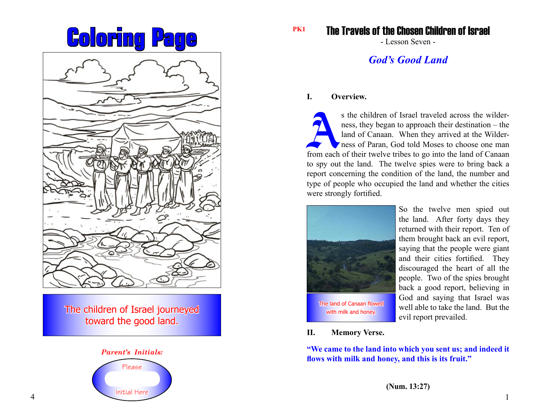



The children of Israel journeyed toward the good land.



The Travels of the Chosen Children of Israel

- Lesson Seven -

# *God's Good Land*

# **I. Overview.**

s the children of Israel traveled across the wilderness, they began to approach their destination – the land of Canaan. When they arrived at the Wilderness of Paran, God told Moses to choose one man from each of their twel ness, they began to approach their destination – the land of Canaan. When they arrived at the Wilderness of Paran, God told Moses to choose one man to spy out the land. The twelve spies were to bring back a report concerning the condition of the land, the number and type of people who occupied the land and whether the cities were strongly fortified.



So the twelve men spied out the land. After forty days they returned with their report. Ten of them brought back an evil report, saying that the people were giant and their cities fortified. They discouraged the heart of all the people. Two of the spies brought back a good report, believing in God and saying that Israel was well able to take the land. But the evil report prevailed.

**II. Memory Verse.**

**"We came to the land into which you sent us; and indeed it flows with milk and honey, and this is its fruit."**